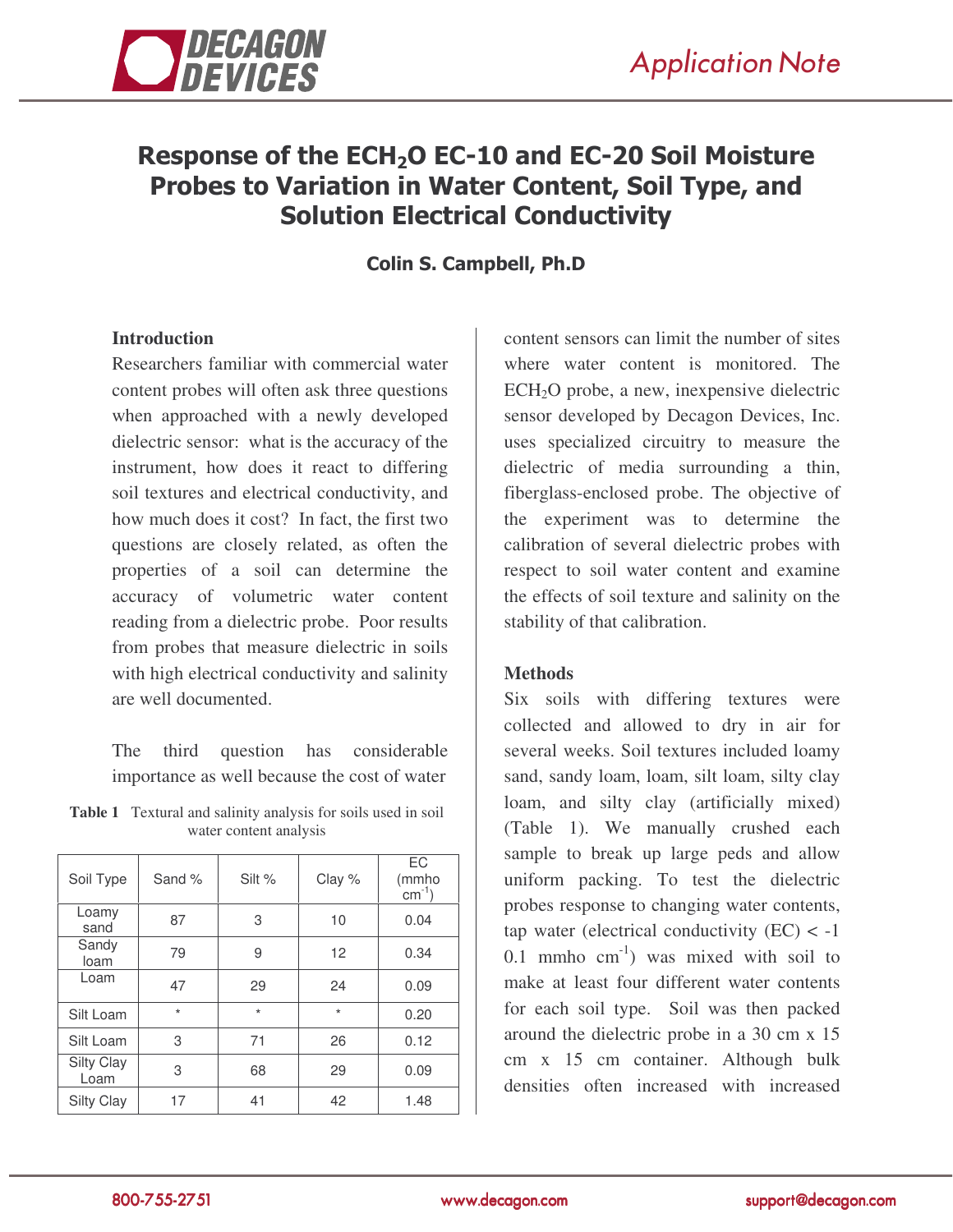

# Response of the ECH<sub>2</sub>O EC-10 and EC-20 Soil Moisture Probes to Variation in Water Content, Soil Type, and **Solution Electrical Conductivity**

Colin S. Campbell, Ph.D

## **Introduction**

Researchers familiar with commercial water content probes will often ask three questions when approached with a newly developed dielectric sensor: what is the accuracy of the instrument, how does it react to differing soil textures and electrical conductivity, and how much does it cost? In fact, the first two questions are closely related, as often the properties of a soil can determine the accuracy of volumetric water content reading from a dielectric probe. Poor results from probes that measure dielectric in soils with high electrical conductivity and salinity are well documented.

The third question has considerable importance as well because the cost of water

|                        | <b>Table 1</b> Textural and salinity analysis for soils used in soil |  |  |  |
|------------------------|----------------------------------------------------------------------|--|--|--|
| water content analysis |                                                                      |  |  |  |

| Soil Type          | Sand %  | Silt %  | Clay %  | EC<br>(mmho<br>$cm^{-1}$ ) |
|--------------------|---------|---------|---------|----------------------------|
| Loamy<br>sand      | 87      | 3       | 10      | 0.04                       |
| Sandy<br>loam      | 79      | 9       | 12      | 0.34                       |
| Loam               | 47      | 29      | 24      | 0.09                       |
| Silt Loam          | $\star$ | $\star$ | $\star$ | 0.20                       |
| Silt Loam          | 3       | 71      | 26      | 0.12                       |
| Silty Clay<br>Loam | 3       | 68      | 29      | 0.09                       |
| Silty Clay         | 17      | 41      | 42      | 1.48                       |

content sensors can limit the number of sites where water content is monitored. The ECH2O probe, a new, inexpensive dielectric sensor developed by Decagon Devices, Inc. uses specialized circuitry to measure the dielectric of media surrounding a thin, fiberglass-enclosed probe. The objective of the experiment was to determine the calibration of several dielectric probes with respect to soil water content and examine the effects of soil texture and salinity on the stability of that calibration.

## **Methods**

Six soils with differing textures were collected and allowed to dry in air for several weeks. Soil textures included loamy sand, sandy loam, loam, silt loam, silty clay loam, and silty clay (artificially mixed) (Table 1). We manually crushed each sample to break up large peds and allow uniform packing. To test the dielectric probes response to changing water contents, tap water (electrical conductivity  $(EC) < -1$ ) 0.1 mmho  $cm^{-1}$ ) was mixed with soil to make at least four different water contents for each soil type. Soil was then packed around the dielectric probe in a 30 cm x 15 cm x 15 cm container. Although bulk densities often increased with increased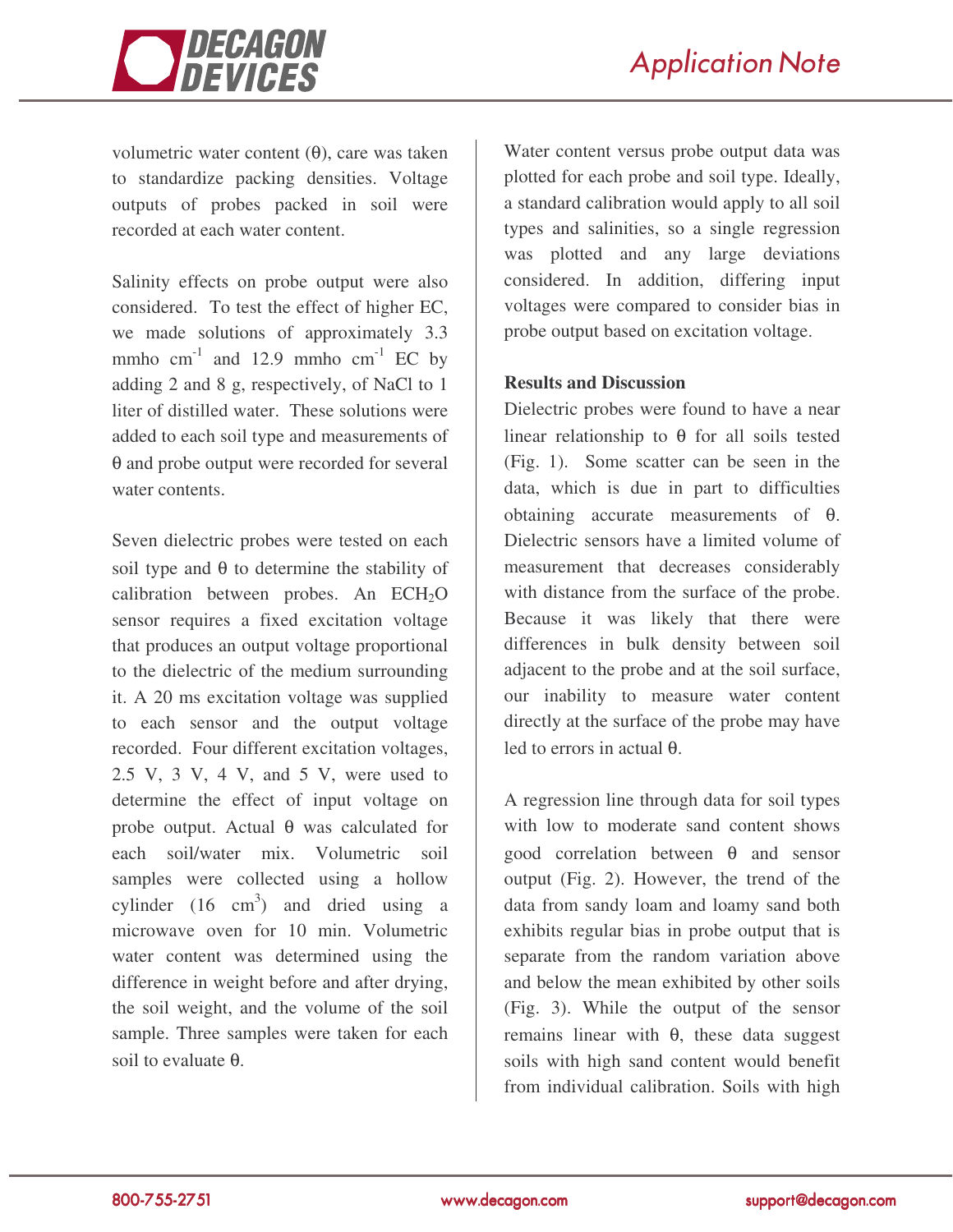



volumetric water content (θ), care was taken to standardize packing densities. Voltage outputs of probes packed in soil were recorded at each water content.

Salinity effects on probe output were also considered. To test the effect of higher EC, we made solutions of approximately 3.3 mmho cm<sup>-1</sup> and 12.9 mmho cm<sup>-1</sup> EC by adding 2 and 8 g, respectively, of NaCl to 1 liter of distilled water. These solutions were added to each soil type and measurements of θ and probe output were recorded for several water contents.

Seven dielectric probes were tested on each soil type and  $\theta$  to determine the stability of calibration between probes. An  $ECH<sub>2</sub>O$ sensor requires a fixed excitation voltage that produces an output voltage proportional to the dielectric of the medium surrounding it. A 20 ms excitation voltage was supplied to each sensor and the output voltage recorded. Four different excitation voltages, 2.5 V, 3 V, 4 V, and 5 V, were used to determine the effect of input voltage on probe output. Actual θ was calculated for each soil/water mix. Volumetric soil samples were collected using a hollow cylinder  $(16 \text{ cm}^3)$  and dried using a microwave oven for 10 min. Volumetric water content was determined using the difference in weight before and after drying, the soil weight, and the volume of the soil sample. Three samples were taken for each soil to evaluate θ.

Water content versus probe output data was plotted for each probe and soil type. Ideally, a standard calibration would apply to all soil types and salinities, so a single regression was plotted and any large deviations considered. In addition, differing input voltages were compared to consider bias in probe output based on excitation voltage.

#### **Results and Discussion**

Dielectric probes were found to have a near linear relationship to  $\theta$  for all soils tested (Fig. 1). Some scatter can be seen in the data, which is due in part to difficulties obtaining accurate measurements of θ. Dielectric sensors have a limited volume of measurement that decreases considerably with distance from the surface of the probe. Because it was likely that there were differences in bulk density between soil adjacent to the probe and at the soil surface, our inability to measure water content directly at the surface of the probe may have led to errors in actual θ.

A regression line through data for soil types with low to moderate sand content shows good correlation between θ and sensor output (Fig. 2). However, the trend of the data from sandy loam and loamy sand both exhibits regular bias in probe output that is separate from the random variation above and below the mean exhibited by other soils (Fig. 3). While the output of the sensor remains linear with θ, these data suggest soils with high sand content would benefit from individual calibration. Soils with high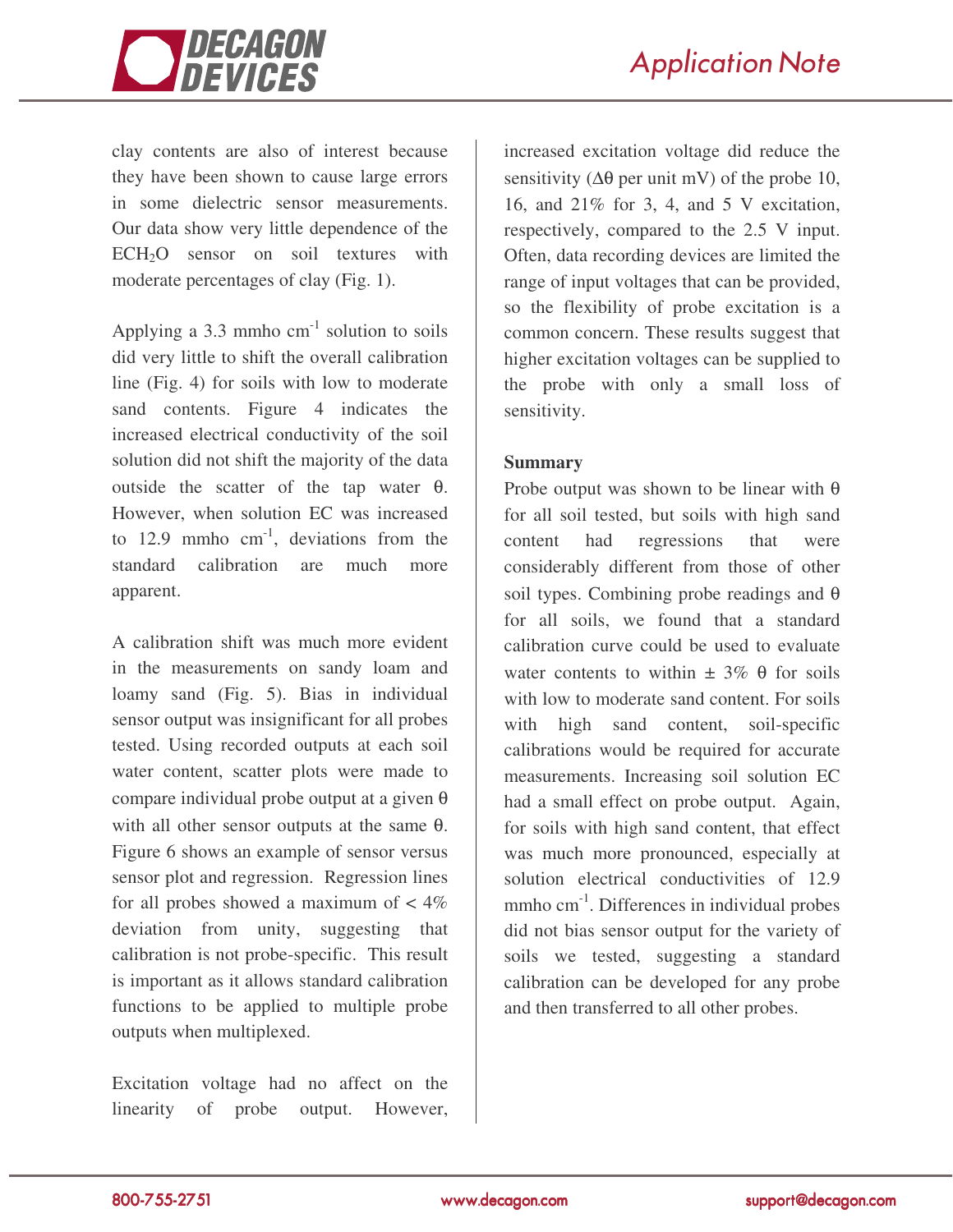

clay contents are also of interest because they have been shown to cause large errors in some dielectric sensor measurements. Our data show very little dependence of the ECH<sub>2</sub>O sensor on soil textures with moderate percentages of clay (Fig. 1).

Applying a 3.3 mmho  $cm^{-1}$  solution to soils did very little to shift the overall calibration line (Fig. 4) for soils with low to moderate sand contents. Figure 4 indicates the increased electrical conductivity of the soil solution did not shift the majority of the data outside the scatter of the tap water θ. However, when solution EC was increased to 12.9 mmho  $cm^{-1}$ , deviations from the standard calibration are much more apparent.

A calibration shift was much more evident in the measurements on sandy loam and loamy sand (Fig. 5). Bias in individual sensor output was insignificant for all probes tested. Using recorded outputs at each soil water content, scatter plots were made to compare individual probe output at a given θ with all other sensor outputs at the same θ. Figure 6 shows an example of sensor versus sensor plot and regression. Regression lines for all probes showed a maximum of  $\lt 4\%$ deviation from unity, suggesting that calibration is not probe-specific. This result is important as it allows standard calibration functions to be applied to multiple probe outputs when multiplexed.

Excitation voltage had no affect on the linearity of probe output. However,

increased excitation voltage did reduce the sensitivity ( $\Delta\theta$  per unit mV) of the probe 10, 16, and 21% for 3, 4, and 5 V excitation, respectively, compared to the 2.5 V input. Often, data recording devices are limited the range of input voltages that can be provided, so the flexibility of probe excitation is a common concern. These results suggest that higher excitation voltages can be supplied to the probe with only a small loss of sensitivity.

## **Summary**

Probe output was shown to be linear with  $\theta$ for all soil tested, but soils with high sand content had regressions that were considerably different from those of other soil types. Combining probe readings and  $\theta$ for all soils, we found that a standard calibration curve could be used to evaluate water contents to within  $\pm$  3%  $\theta$  for soils with low to moderate sand content. For soils with high sand content, soil-specific calibrations would be required for accurate measurements. Increasing soil solution EC had a small effect on probe output. Again, for soils with high sand content, that effect was much more pronounced, especially at solution electrical conductivities of 12.9 mmho cm<sup>-1</sup>. Differences in individual probes did not bias sensor output for the variety of soils we tested, suggesting a standard calibration can be developed for any probe and then transferred to all other probes.